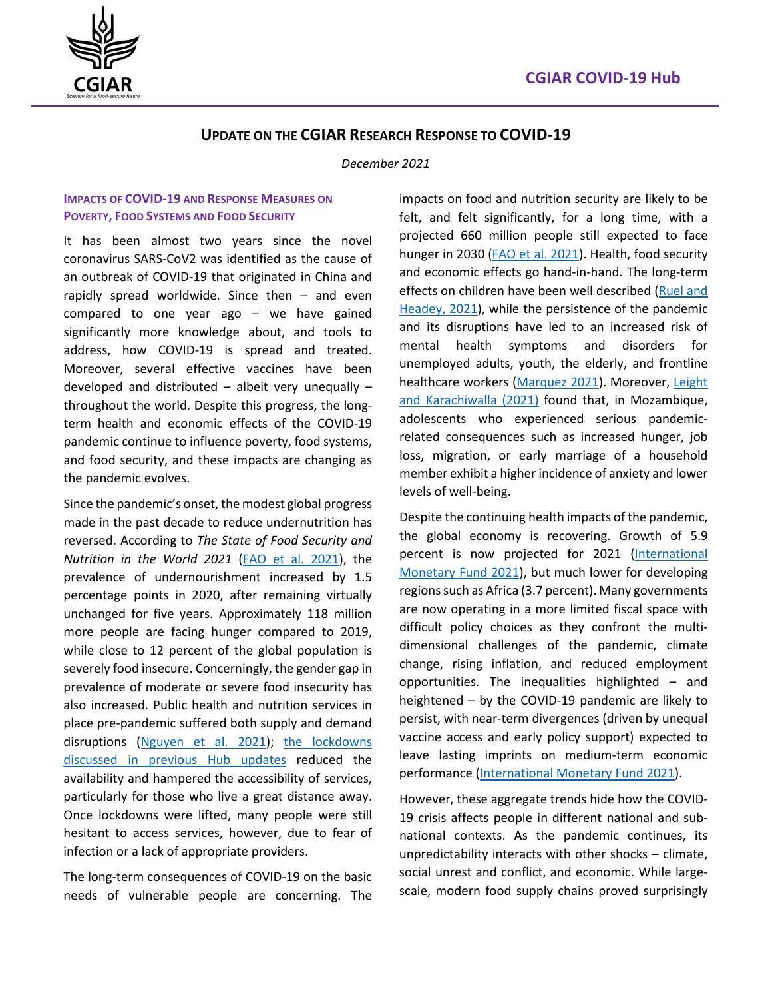

## **UPDATE ON THE CGIAR RESEARCH RESPONSE TO COVID-19**

*December 2021*

### **IMPACTS OF COVID-19 AND RESPONSE MEASURES ON POVERTY, FOOD SYSTEMS AND FOOD SECURITY**

It has been almost two years since the novel coronavirus SARS-CoV2 was identified as the cause of an outbreak of COVID-19 that originated in China and rapidly spread worldwide. Since then – and even compared to one year ago – we have gained significantly more knowledge about, and tools to address, how COVID-19 is spread and treated. Moreover, several effective vaccines have been developed and distributed – albeit very unequally – throughout the world. Despite this progress, the longterm health and economic effects of the COVID-19 pandemic continue to influence poverty, food systems, and food security, and these impacts are changing as the pandemic evolves.

Since the pandemic's onset, the modest global progress made in the past decade to reduce undernutrition has reversed. According to *The State of Food Security and Nutrition in the World 2021* [\(FAO et al. 2021\)](https://www.fao.org/documents/card/en/c/cb4474en), the prevalence of undernourishment increased by 1.5 percentage points in 2020, after remaining virtually unchanged for five years. Approximately 118 million more people are facing hunger compared to 2019, while close to 12 percent of the global population is severely food insecure. Concerningly, the gender gap in prevalence of moderate or severe food insecurity has also increased. Public health and nutrition services in place pre-pandemic suffered both supply and demand disruptions [\(Nguyen et al. 2021\)](https://academic.oup.com/jn/article/151/8/2305/6291862); [the lockdowns](https://a4nh.cgiar.org/files/2020/12/COVID-19-Hub-Update-December-2020.pdf)  [discussed in previous Hub updates](https://a4nh.cgiar.org/files/2020/12/COVID-19-Hub-Update-December-2020.pdf) reduced the availability and hampered the accessibility of services, particularly for those who live a great distance away. Once lockdowns were lifted, many people were still hesitant to access services, however, due to fear of infection or a lack of appropriate providers.

The long-term consequences of COVID-19 on the basic needs of vulnerable people are concerning. The impacts on food and nutrition security are likely to be felt, and felt significantly, for a long time, with a projected 660 million people still expected to face hunger in 2030 [\(FAO et al. 2021\)](https://www.fao.org/documents/card/en/c/cb4474en). Health, food security and economic effects go hand-in-hand. The long-term effects on children have been well described (Ruel and [Headey, 2021\)](https://www.ifpri.org/blog/covid-19-virus-will-mostly-spare-young-children-economic-crisis-will-not), while the persistence of the pandemic and its disruptions have led to an increased risk of mental health symptoms and disorders for unemployed adults, youth, the elderly, and frontline healthcare workers [\(Marquez 2021\)](https://blogs.worldbank.org/health/3-priorities-scale-mental-health-services-amid-covid-19). Moreover, [Leight](https://www.ifpri.org/blog/covid-19-school-closures-and-adolescent-mental-health-evidence-mozambique)  [and Karachiwalla \(2021\)](https://www.ifpri.org/blog/covid-19-school-closures-and-adolescent-mental-health-evidence-mozambique) found that, in Mozambique, adolescents who experienced serious pandemicrelated consequences such as increased hunger, job loss, migration, or early marriage of a household member exhibit a higher incidence of anxiety and lower levels of well-being.

Despite the continuing health impacts of the pandemic, the global economy is recovering. Growth of 5.9 percent is now projected for 2021 [\(International](https://www.imf.org/en/Publications/WEO/Issues/2021/10/12/world-economic-outlook-october-2021)  [Monetary Fund 2021\)](https://www.imf.org/en/Publications/WEO/Issues/2021/10/12/world-economic-outlook-october-2021), but much lower for developing regions such as Africa (3.7 percent). Many governments are now operating in a more limited fiscal space with difficult policy choices as they confront the multidimensional challenges of the pandemic, climate change, rising inflation, and reduced employment opportunities. The inequalities highlighted – and heightened – by the COVID-19 pandemic are likely to persist, with near-term divergences (driven by unequal vaccine access and early policy support) expected to leave lasting imprints on medium-term economic performance [\(International Monetary Fund 2021\)](https://www.imf.org/en/Publications/WEO/Issues/2021/10/12/world-economic-outlook-october-2021).

However, these aggregate trends hide how the COVID-19 crisis affects people in different national and subnational contexts. As the pandemic continues, its unpredictability interacts with other shocks – climate, social unrest and conflict, and economic. While largescale, modern food supply chains proved surprisingly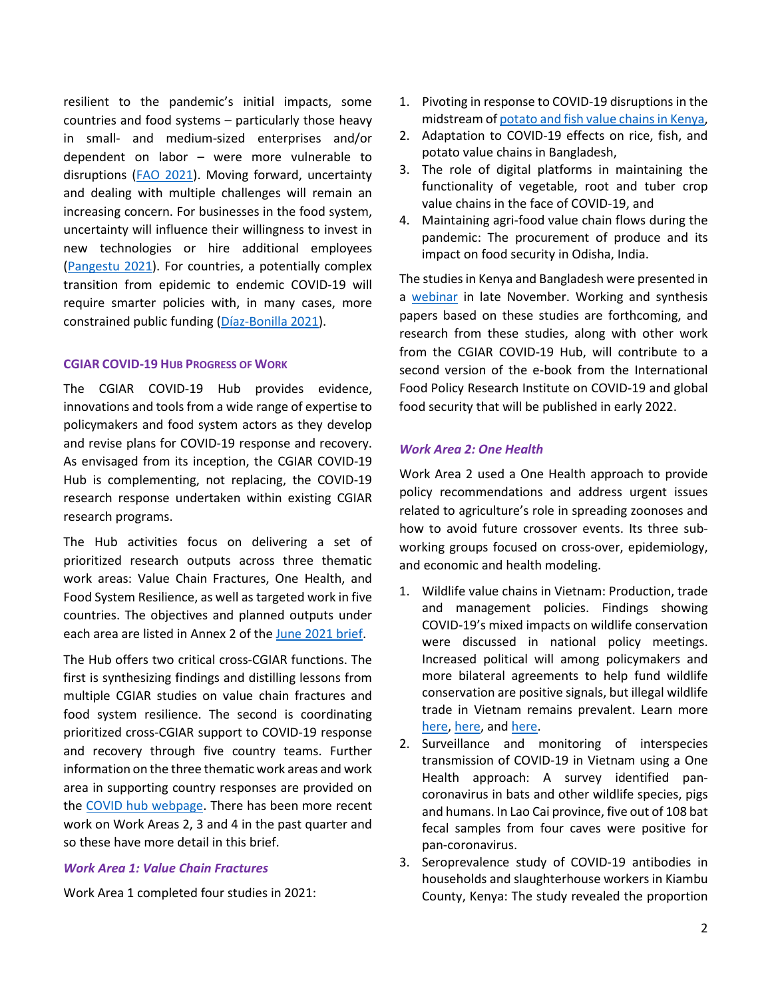resilient to the pandemic's initial impacts, some countries and food systems – particularly those heavy in small- and medium-sized enterprises and/or dependent on labor – were more vulnerable to disruptions [\(FAO 2021\)](https://doi.org/10.4060/cb4476en). Moving forward, uncertainty and dealing with multiple challenges will remain an increasing concern. For businesses in the food system, uncertainty will influence their willingness to invest in new technologies or hire additional employees [\(Pangestu 2021\)](https://blogs.worldbank.org/voices/taking-pulse-business-covid-recovery-and-policy-implications). For countries, a potentially complex transition from epidemic to endemic COVID-19 will require smarter policies with, in many cases, more constrained public funding [\(Díaz-Bonilla 2021\)](https://www.ifpri.org/blog/using-new-imf-special-drawing-rights-larger-purposes-guaranteeing-%E2%80%98pandemic-recovery-bonds%E2%80%99).

#### **CGIAR COVID-19 HUB PROGRESS OF WORK**

The CGIAR COVID-19 Hub provides evidence, innovations and tools from a wide range of expertise to policymakers and food system actors as they develop and revise plans for COVID-19 response and recovery. As envisaged from its inception, the CGIAR COVID-19 Hub is complementing, not replacing, the COVID-19 research response undertaken within existing CGIAR research programs.

The Hub activities focus on delivering a set of prioritized research outputs across three thematic work areas: Value Chain Fractures, One Health, and Food System Resilience, as well as targeted work in five countries. The objectives and planned outputs under each area are listed in Annex 2 of the [June 2021 brief.](https://a4nh.cgiar.org/files/2021/06/COVID-19-Hub-Update-June-2021-FINAL.pdf)

The Hub offers two critical cross-CGIAR functions. The first is synthesizing findings and distilling lessons from multiple CGIAR studies on value chain fractures and food system resilience. The second is coordinating prioritized cross-CGIAR support to COVID-19 response and recovery through five country teams. Further information on the three thematic work areas and work area in supporting country responses are provided on the [COVID hub webpage.](https://a4nh.cgiar.org/covidhub/) There has been more recent work on Work Areas 2, 3 and 4 in the past quarter and so these have more detail in this brief.

### *Work Area 1: Value Chain Fractures*

Work Area 1 completed four studies in 2021:

- 1. Pivoting in response to COVID-19 disruptions in the midstream o[f potato and fish value chains in Kenya,](https://cgspace.cgiar.org/bitstream/handle/10568/116767/157.pdf?sequence=1&isAllowed=y)
- 2. Adaptation to COVID-19 effects on rice, fish, and potato value chains in Bangladesh,
- 3. The role of digital platforms in maintaining the functionality of vegetable, root and tuber crop value chains in the face of COVID-19, and
- 4. Maintaining agri-food value chain flows during the pandemic: The procurement of produce and its impact on food security in Odisha, India.

The studies in Kenya and Bangladesh were presented in a [webinar](https://pim.cgiar.org/2021/11/22/covid-19-and-agricultural-value-chains-impacts-and-adaptations/) in late November. Working and synthesis papers based on these studies are forthcoming, and research from these studies, along with other work from the CGIAR COVID-19 Hub, will contribute to a second version of the e-book from the International Food Policy Research Institute on COVID-19 and global food security that will be published in early 2022.

#### *Work Area 2: One Health*

Work Area 2 used a One Health approach to provide policy recommendations and address urgent issues related to agriculture's role in spreading zoonoses and how to avoid future crossover events. Its three subworking groups focused on cross-over, epidemiology, and economic and health modeling.

- 1. Wildlife value chains in Vietnam: Production, trade and management policies. Findings showing COVID-19's mixed impacts on wildlife conservation were discussed in national policy meetings. Increased political will among policymakers and more bilateral agreements to help fund wildlife conservation are positive signals, but illegal wildlife trade in Vietnam remains prevalent. Learn more [here,](https://www.cifor.org/publications/pdf_files/infobrief/8298-Infobrief.pdf) [here,](https://www.cifor.org/knowledge/publication/8098/) an[d here.](https://www.cifor.org/knowledge/publication/8350)
- 2. Surveillance and monitoring of interspecies transmission of COVID-19 in Vietnam using a One Health approach: A survey identified pancoronavirus in bats and other wildlife species, pigs and humans. In Lao Cai province, five out of 108 bat fecal samples from four caves were positive for pan-coronavirus.
- 3. Seroprevalence study of COVID-19 antibodies in households and slaughterhouse workers in Kiambu County, Kenya: The study revealed the proportion